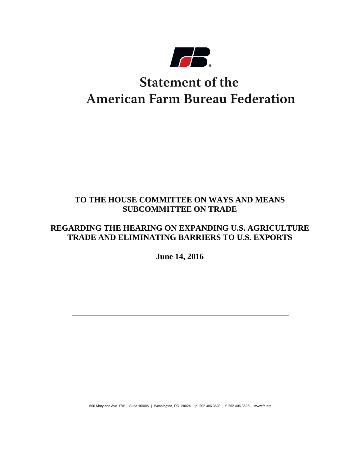

# **Statement of the American Farm Bureau Federation**

# **TO THE HOUSE COMMITTEE ON WAYS AND MEANS SUBCOMMITTEE ON TRADE**

# **REGARDING THE HEARING ON EXPANDING U.S. AGRICULTURE TRADE AND ELIMINATING BARRIERS TO U.S. EXPORTS**

**June 14, 2016**

600 Maryland Ave. SW | Suite 1000W | Washington, DC 20024 | p. 202.406.3600 | f. 202.406.3606 | www.fb.org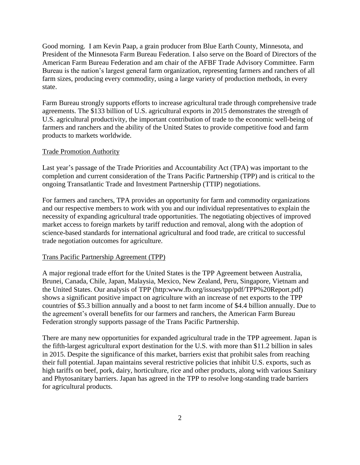Good morning. I am Kevin Paap, a grain producer from Blue Earth County, Minnesota, and President of the Minnesota Farm Bureau Federation. I also serve on the Board of Directors of the American Farm Bureau Federation and am chair of the AFBF Trade Advisory Committee. Farm Bureau is the nation's largest general farm organization, representing farmers and ranchers of all farm sizes, producing every commodity, using a large variety of production methods, in every state.

Farm Bureau strongly supports efforts to increase agricultural trade through comprehensive trade agreements. The \$133 billion of U.S. agricultural exports in 2015 demonstrates the strength of U.S. agricultural productivity, the important contribution of trade to the economic well-being of farmers and ranchers and the ability of the United States to provide competitive food and farm products to markets worldwide.

#### Trade Promotion Authority

Last year's passage of the Trade Priorities and Accountability Act (TPA) was important to the completion and current consideration of the Trans Pacific Partnership (TPP) and is critical to the ongoing Transatlantic Trade and Investment Partnership (TTIP) negotiations.

For farmers and ranchers, TPA provides an opportunity for farm and commodity organizations and our respective members to work with you and our individual representatives to explain the necessity of expanding agricultural trade opportunities. The negotiating objectives of improved market access to foreign markets by tariff reduction and removal, along with the adoption of science-based standards for international agricultural and food trade, are critical to successful trade negotiation outcomes for agriculture.

### Trans Pacific Partnership Agreement (TPP)

A major regional trade effort for the United States is the TPP Agreement between Australia, Brunei, Canada, Chile, Japan, Malaysia, Mexico, New Zealand, Peru, Singapore, Vietnam and the United States. Our analysis of TPP (http:www.fb.org/issues/tpp/pdf/TPP%20Report.pdf) shows a significant positive impact on agriculture with an increase of net exports to the TPP countries of \$5.3 billion annually and a boost to net farm income of \$4.4 billion annually. Due to the agreement's overall benefits for our farmers and ranchers, the American Farm Bureau Federation strongly supports passage of the Trans Pacific Partnership.

There are many new opportunities for expanded agricultural trade in the TPP agreement. Japan is the fifth-largest agricultural export destination for the U.S. with more than \$11.2 billion in sales in 2015. Despite the significance of this market, barriers exist that prohibit sales from reaching their full potential. Japan maintains several restrictive policies that inhibit U.S. exports, such as high tariffs on beef, pork, dairy, horticulture, rice and other products, along with various Sanitary and Phytosanitary barriers. Japan has agreed in the TPP to resolve long-standing trade barriers for agricultural products.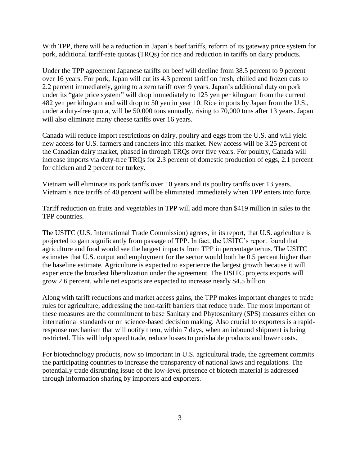With TPP, there will be a reduction in Japan's beef tariffs, reform of its gateway price system for pork, additional tariff-rate quotas (TRQs) for rice and reduction in tariffs on dairy products.

Under the TPP agreement Japanese tariffs on beef will decline from 38.5 percent to 9 percent over 16 years. For pork, Japan will cut its 4.3 percent tariff on fresh, chilled and frozen cuts to 2.2 percent immediately, going to a zero tariff over 9 years. Japan's additional duty on pork under its "gate price system" will drop immediately to 125 yen per kilogram from the current 482 yen per kilogram and will drop to 50 yen in year 10. Rice imports by Japan from the U.S., under a duty-free quota, will be 50,000 tons annually, rising to 70,000 tons after 13 years. Japan will also eliminate many cheese tariffs over 16 years.

Canada will reduce import restrictions on dairy, poultry and eggs from the U.S. and will yield new access for U.S. farmers and ranchers into this market. New access will be 3.25 percent of the Canadian dairy market, phased in through TRQs over five years. For poultry, Canada will increase imports via duty-free TRQs for 2.3 percent of domestic production of eggs, 2.1 percent for chicken and 2 percent for turkey.

Vietnam will eliminate its pork tariffs over 10 years and its poultry tariffs over 13 years. Vietnam's rice tariffs of 40 percent will be eliminated immediately when TPP enters into force.

Tariff reduction on fruits and vegetables in TPP will add more than \$419 million in sales to the TPP countries.

The USITC (U.S. International Trade Commission) agrees, in its report, that U.S. agriculture is projected to gain significantly from passage of TPP. In fact, the USITC's report found that agriculture and food would see the largest impacts from TPP in percentage terms. The USITC estimates that U.S. output and employment for the sector would both be 0.5 percent higher than the baseline estimate. Agriculture is expected to experience the largest growth because it will experience the broadest liberalization under the agreement. The USITC projects exports will grow 2.6 percent, while net exports are expected to increase nearly \$4.5 billion.

Along with tariff reductions and market access gains, the TPP makes important changes to trade rules for agriculture, addressing the non-tariff barriers that reduce trade. The most important of these measures are the commitment to base Sanitary and Phytosanitary (SPS) measures either on international standards or on science-based decision making. Also crucial to exporters is a rapidresponse mechanism that will notify them, within 7 days, when an inbound shipment is being restricted. This will help speed trade, reduce losses to perishable products and lower costs.

For biotechnology products, now so important in U.S. agricultural trade, the agreement commits the participating countries to increase the transparency of national laws and regulations. The potentially trade disrupting issue of the low-level presence of biotech material is addressed through information sharing by importers and exporters.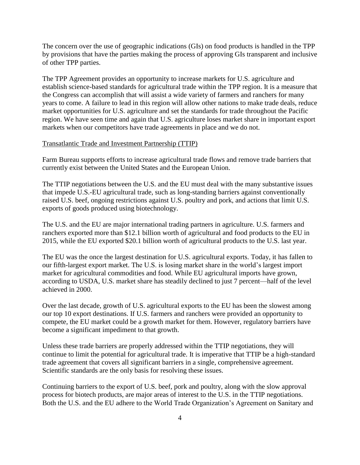The concern over the use of geographic indications (GIs) on food products is handled in the TPP by provisions that have the parties making the process of approving GIs transparent and inclusive of other TPP parties.

The TPP Agreement provides an opportunity to increase markets for U.S. agriculture and establish science-based standards for agricultural trade within the TPP region. It is a measure that the Congress can accomplish that will assist a wide variety of farmers and ranchers for many years to come. A failure to lead in this region will allow other nations to make trade deals, reduce market opportunities for U.S. agriculture and set the standards for trade throughout the Pacific region. We have seen time and again that U.S. agriculture loses market share in important export markets when our competitors have trade agreements in place and we do not.

## Transatlantic Trade and Investment Partnership (TTIP)

Farm Bureau supports efforts to increase agricultural trade flows and remove trade barriers that currently exist between the United States and the European Union.

The TTIP negotiations between the U.S. and the EU must deal with the many substantive issues that impede U.S.-EU agricultural trade, such as long-standing barriers against conventionally raised U.S. beef, ongoing restrictions against U.S. poultry and pork, and actions that limit U.S. exports of goods produced using biotechnology.

The U.S. and the EU are major international trading partners in agriculture. U.S. farmers and ranchers exported more than \$12.1 billion worth of agricultural and food products to the EU in 2015, while the EU exported \$20.1 billion worth of agricultural products to the U.S. last year.

The EU was the once the largest destination for U.S. agricultural exports. Today, it has fallen to our fifth-largest export market. The U.S. is losing market share in the world's largest import market for agricultural commodities and food. While EU agricultural imports have grown, according to USDA, U.S. market share has steadily declined to just 7 percent—half of the level achieved in 2000.

Over the last decade, growth of U.S. agricultural exports to the EU has been the slowest among our top 10 export destinations. If U.S. farmers and ranchers were provided an opportunity to compete, the EU market could be a growth market for them. However, regulatory barriers have become a significant impediment to that growth.

Unless these trade barriers are properly addressed within the TTIP negotiations, they will continue to limit the potential for agricultural trade. It is imperative that TTIP be a high-standard trade agreement that covers all significant barriers in a single, comprehensive agreement. Scientific standards are the only basis for resolving these issues.

Continuing barriers to the export of U.S. beef, pork and poultry, along with the slow approval process for biotech products, are major areas of interest to the U.S. in the TTIP negotiations. Both the U.S. and the EU adhere to the World Trade Organization's Agreement on Sanitary and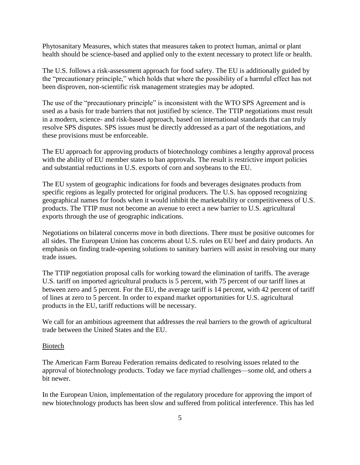Phytosanitary Measures, which states that measures taken to protect human, animal or plant health should be science-based and applied only to the extent necessary to protect life or health.

The U.S. follows a risk-assessment approach for food safety. The EU is additionally guided by the "precautionary principle," which holds that where the possibility of a harmful effect has not been disproven, non-scientific risk management strategies may be adopted.

The use of the "precautionary principle" is inconsistent with the WTO SPS Agreement and is used as a basis for trade barriers that not justified by science. The TTIP negotiations must result in a modern, science- and risk-based approach, based on international standards that can truly resolve SPS disputes. SPS issues must be directly addressed as a part of the negotiations, and these provisions must be enforceable.

The EU approach for approving products of biotechnology combines a lengthy approval process with the ability of EU member states to ban approvals. The result is restrictive import policies and substantial reductions in U.S. exports of corn and soybeans to the EU.

The EU system of geographic indications for foods and beverages designates products from specific regions as legally protected for original producers. The U.S. has opposed recognizing geographical names for foods when it would inhibit the marketability or competitiveness of U.S. products. The TTIP must not become an avenue to erect a new barrier to U.S. agricultural exports through the use of geographic indications.

Negotiations on bilateral concerns move in both directions. There must be positive outcomes for all sides. The European Union has concerns about U.S. rules on EU beef and dairy products. An emphasis on finding trade-opening solutions to sanitary barriers will assist in resolving our many trade issues.

The TTIP negotiation proposal calls for working toward the elimination of tariffs. The average U.S. tariff on imported agricultural products is 5 percent, with 75 percent of our tariff lines at between zero and 5 percent. For the EU, the average tariff is 14 percent, with 42 percent of tariff of lines at zero to 5 percent. In order to expand market opportunities for U.S. agricultural products in the EU, tariff reductions will be necessary.

We call for an ambitious agreement that addresses the real barriers to the growth of agricultural trade between the United States and the EU.

#### Biotech

The American Farm Bureau Federation remains dedicated to resolving issues related to the approval of biotechnology products. Today we face myriad challenges—some old, and others a bit newer.

In the European Union, implementation of the regulatory procedure for approving the import of new biotechnology products has been slow and suffered from political interference. This has led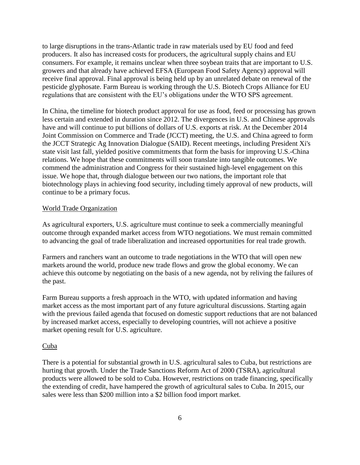to large disruptions in the trans-Atlantic trade in raw materials used by EU food and feed producers. It also has increased costs for producers, the agricultural supply chains and EU consumers. For example, it remains unclear when three soybean traits that are important to U.S. growers and that already have achieved EFSA (European Food Safety Agency) approval will receive final approval. Final approval is being held up by an unrelated debate on renewal of the pesticide glyphosate. Farm Bureau is working through the U.S. Biotech Crops Alliance for EU regulations that are consistent with the EU's obligations under the WTO SPS agreement.

In China, the timeline for biotech product approval for use as food, feed or processing has grown less certain and extended in duration since 2012. The divergences in U.S. and Chinese approvals have and will continue to put billions of dollars of U.S. exports at risk. At the December 2014 Joint Commission on Commerce and Trade (JCCT) meeting, the U.S. and China agreed to form the JCCT Strategic Ag Innovation Dialogue (SAID). Recent meetings, including President Xi's state visit last fall, yielded positive commitments that form the basis for improving U.S.-China relations. We hope that these commitments will soon translate into tangible outcomes. We commend the administration and Congress for their sustained high-level engagement on this issue. We hope that, through dialogue between our two nations, the important role that biotechnology plays in achieving food security, including timely approval of new products, will continue to be a primary focus.

### World Trade Organization

As agricultural exporters, U.S. agriculture must continue to seek a commercially meaningful outcome through expanded market access from WTO negotiations. We must remain committed to advancing the goal of trade liberalization and increased opportunities for real trade growth.

Farmers and ranchers want an outcome to trade negotiations in the WTO that will open new markets around the world, produce new trade flows and grow the global economy. We can achieve this outcome by negotiating on the basis of a new agenda, not by reliving the failures of the past.

Farm Bureau supports a fresh approach in the WTO, with updated information and having market access as the most important part of any future agricultural discussions. Starting again with the previous failed agenda that focused on domestic support reductions that are not balanced by increased market access, especially to developing countries, will not achieve a positive market opening result for U.S. agriculture.

#### Cuba

There is a potential for substantial growth in U.S. agricultural sales to Cuba, but restrictions are hurting that growth. Under the Trade Sanctions Reform Act of 2000 (TSRA), agricultural products were allowed to be sold to Cuba. However, restrictions on trade financing, specifically the extending of credit, have hampered the growth of agricultural sales to Cuba. In 2015, our sales were less than \$200 million into a \$2 billion food import market.